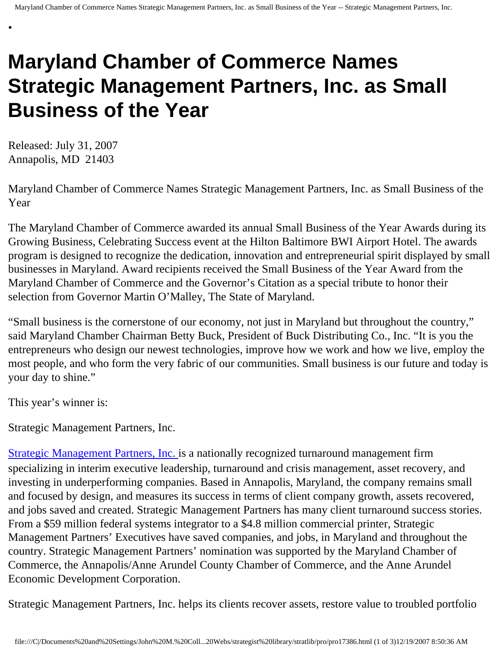## **Maryland Chamber of Commerce Names Strategic Management Partners, Inc. as Small Business of the Year**

Released: July 31, 2007 Annapolis, MD 21403

•

Maryland Chamber of Commerce Names Strategic Management Partners, Inc. as Small Business of the Year

The Maryland Chamber of Commerce awarded its annual Small Business of the Year Awards during its Growing Business, Celebrating Success event at the Hilton Baltimore BWI Airport Hotel. The awards program is designed to recognize the dedication, innovation and entrepreneurial spirit displayed by small businesses in Maryland. Award recipients received the Small Business of the Year Award from the Maryland Chamber of Commerce and the Governor's Citation as a special tribute to honor their selection from Governor Martin O'Malley, The State of Maryland.

"Small business is the cornerstone of our economy, not just in Maryland but throughout the country," said Maryland Chamber Chairman Betty Buck, President of Buck Distributing Co., Inc. "It is you the entrepreneurs who design our newest technologies, improve how we work and how we live, employ the most people, and who form the very fabric of our communities. Small business is our future and today is your day to shine."

This year's winner is:

Strategic Management Partners, Inc.

[Strategic Management Partners, Inc.](http://www.strategicmgtpartners.com/) is a nationally recognized turnaround management firm specializing in interim executive leadership, turnaround and crisis management, asset recovery, and investing in underperforming companies. Based in Annapolis, Maryland, the company remains small and focused by design, and measures its success in terms of client company growth, assets recovered, and jobs saved and created. Strategic Management Partners has many client turnaround success stories. From a \$59 million federal systems integrator to a \$4.8 million commercial printer, Strategic Management Partners' Executives have saved companies, and jobs, in Maryland and throughout the country. Strategic Management Partners' nomination was supported by the Maryland Chamber of Commerce, the Annapolis/Anne Arundel County Chamber of Commerce, and the Anne Arundel Economic Development Corporation.

Strategic Management Partners, Inc. helps its clients recover assets, restore value to troubled portfolio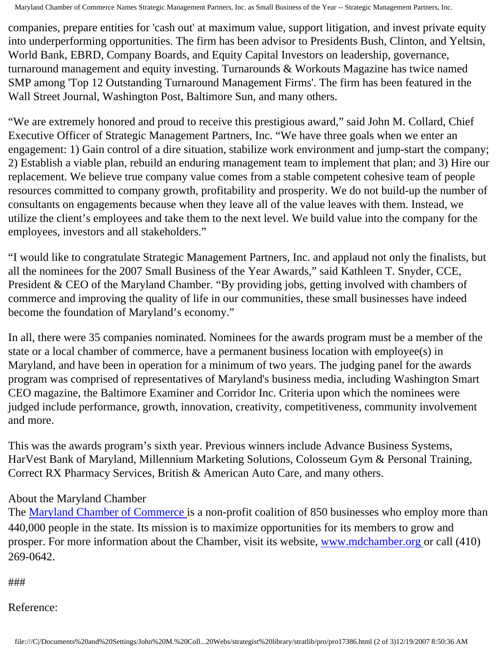Maryland Chamber of Commerce Names Strategic Management Partners, Inc. as Small Business of the Year -- Strategic Management Partners, Inc.

companies, prepare entities for 'cash out' at maximum value, support litigation, and invest private equity into underperforming opportunities. The firm has been advisor to Presidents Bush, Clinton, and Yeltsin, World Bank, EBRD, Company Boards, and Equity Capital Investors on leadership, governance, turnaround management and equity investing. Turnarounds & Workouts Magazine has twice named SMP among 'Top 12 Outstanding Turnaround Management Firms'. The firm has been featured in the Wall Street Journal, Washington Post, Baltimore Sun, and many others.

"We are extremely honored and proud to receive this prestigious award," said John M. Collard, Chief Executive Officer of Strategic Management Partners, Inc. "We have three goals when we enter an engagement: 1) Gain control of a dire situation, stabilize work environment and jump-start the company; 2) Establish a viable plan, rebuild an enduring management team to implement that plan; and 3) Hire our replacement. We believe true company value comes from a stable competent cohesive team of people resources committed to company growth, profitability and prosperity. We do not build-up the number of consultants on engagements because when they leave all of the value leaves with them. Instead, we utilize the client's employees and take them to the next level. We build value into the company for the employees, investors and all stakeholders."

"I would like to congratulate Strategic Management Partners, Inc. and applaud not only the finalists, but all the nominees for the 2007 Small Business of the Year Awards," said Kathleen T. Snyder, CCE, President & CEO of the Maryland Chamber. "By providing jobs, getting involved with chambers of commerce and improving the quality of life in our communities, these small businesses have indeed become the foundation of Maryland's economy."

In all, there were 35 companies nominated. Nominees for the awards program must be a member of the state or a local chamber of commerce, have a permanent business location with employee(s) in Maryland, and have been in operation for a minimum of two years. The judging panel for the awards program was comprised of representatives of Maryland's business media, including Washington Smart CEO magazine, the Baltimore Examiner and Corridor Inc. Criteria upon which the nominees were judged include performance, growth, innovation, creativity, competitiveness, community involvement and more.

This was the awards program's sixth year. Previous winners include Advance Business Systems, HarVest Bank of Maryland, Millennium Marketing Solutions, Colosseum Gym & Personal Training, Correct RX Pharmacy Services, British & American Auto Care, and many others.

## About the Maryland Chamber

The [Maryland Chamber of Commerce](http://www.mdchamber.org/) is a non-profit coalition of 850 businesses who employ more than 440,000 people in the state. Its mission is to maximize opportunities for its members to grow and prosper. For more information about the Chamber, visit its website, [www.mdchamber.org](http://www.mdchamber.org/) or call (410) 269-0642.

###

Reference: